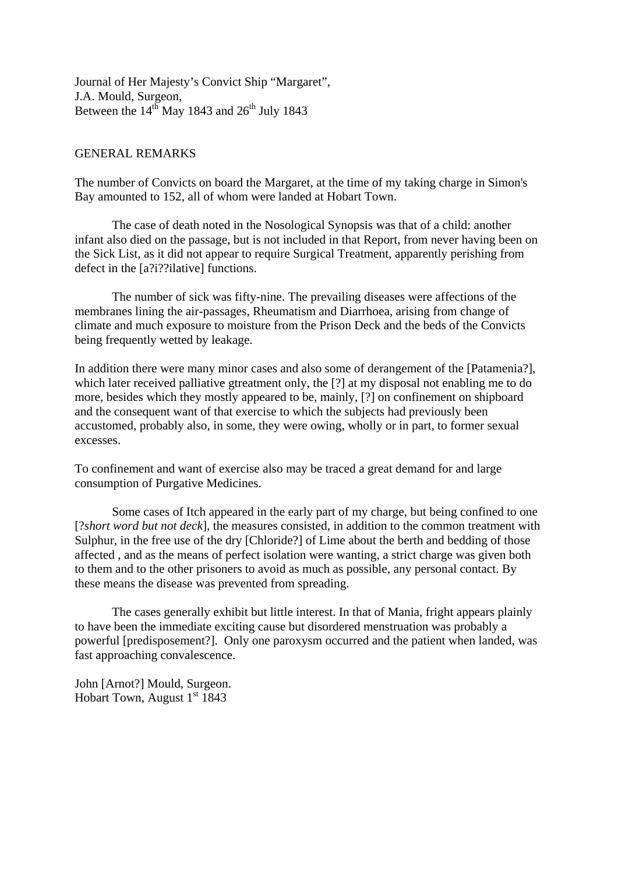Journal of Her Majesty's Convict Ship "Margaret", J.A. Mould, Surgeon, Between the  $14^{th}$  May 1843 and  $26^{th}$  July 1843

## GENERAL REMARKS

The number of Convicts on board the Margaret, at the time of my taking charge in Simon's Bay amounted to 152, all of whom were landed at Hobart Town.

The case of death noted in the Nosological Synopsis was that of a child: another infant also died on the passage, but is not included in that Report, from never having been on the Sick List, as it did not appear to require Surgical Treatment, apparently perishing from defect in the [a?i??ilative] functions.

The number of sick was fifty-nine. The prevailing diseases were affections of the membranes lining the air-passages, Rheumatism and Diarrhoea, arising from change of climate and much exposure to moisture from the Prison Deck and the beds of the Convicts being frequently wetted by leakage.

In addition there were many minor cases and also some of derangement of the [Patamenia?], which later received palliative gtreatment only, the [?] at my disposal not enabling me to do more, besides which they mostly appeared to be, mainly, [?] on confinement on shipboard and the consequent want of that exercise to which the subjects had previously been accustomed, probably also, in some, they were owing, wholly or in part, to former sexual excesses.

To confinement and want of exercise also may be traced a great demand for and large consumption of Purgative Medicines.

 Some cases of Itch appeared in the early part of my charge, but being confined to one [?*short word but not deck*], the measures consisted, in addition to the common treatment with Sulphur, in the free use of the dry [Chloride?] of Lime about the berth and bedding of those affected , and as the means of perfect isolation were wanting, a strict charge was given both to them and to the other prisoners to avoid as much as possible, any personal contact. By these means the disease was prevented from spreading.

 The cases generally exhibit but little interest. In that of Mania, fright appears plainly to have been the immediate exciting cause but disordered menstruation was probably a powerful [predisposement?]. Only one paroxysm occurred and the patient when landed, was fast approaching convalescence.

John [Arnot?] Mould, Surgeon. Hobart Town, August  $1<sup>st</sup> 1843$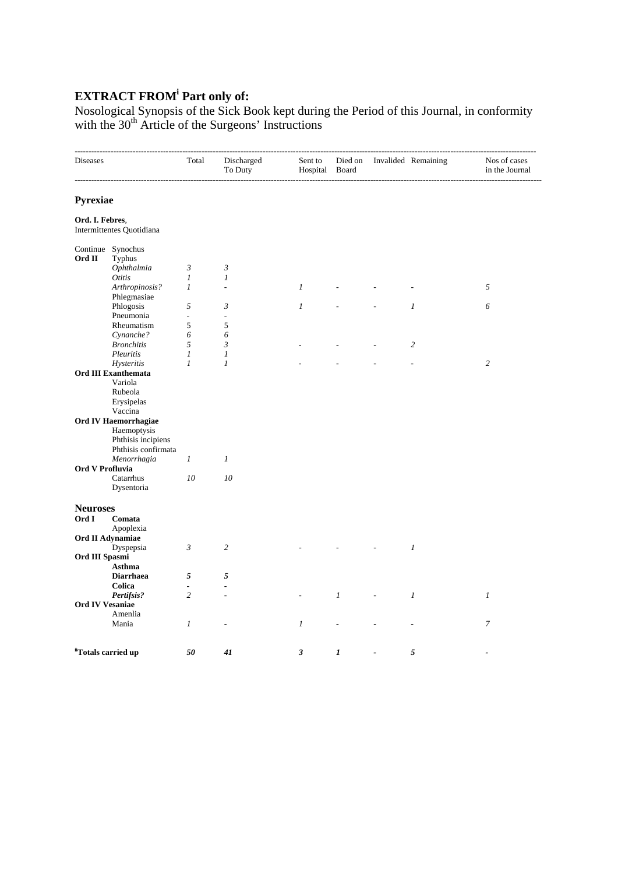## **EXTRACT FROM<sup>i</sup> Part only of:**

Nosological Synopsis of the Sick Book kept during the Period of this Journal, in conformity with the 30<sup>th</sup> Article of the Surgeons' Instructions

| Pyrexiae<br>Ord. I. Febres.<br>Intermittentes Quotidiana<br>Continue Synochus<br>Ord II<br>Typhus<br>Ophthalmia<br>$\mathfrak{Z}$<br>3<br>Otitis<br>$\boldsymbol{l}$<br>1<br>Arthropinosis?<br>$\boldsymbol{l}$<br>$\boldsymbol{l}$<br>5<br>$\overline{a}$<br>Phlegmasiae<br>$\boldsymbol{l}$<br>6<br>Phlogosis<br>5<br>3<br>$\mathfrak{1}$<br>Pneumonia<br>$\overline{\phantom{a}}$<br>$\overline{\phantom{a}}$<br>Rheumatism<br>5<br>5<br>Cynanche?<br>6<br>6<br>5<br>$\overline{c}$<br><b>Bronchitis</b><br>3<br>Pleuritis<br>$\boldsymbol{l}$<br>1<br>$\mathfrak{1}$<br>$\mathfrak{1}$<br>$\overline{c}$<br>Hysteritis<br><b>Ord III Exanthemata</b><br>Variola<br>Rubeola<br>Erysipelas<br>Vaccina<br>Ord IV Haemorrhagiae<br>Haemoptysis<br>Phthisis incipiens<br>Phthisis confirmata<br>Menorrhagia<br>$\mathfrak{1}$<br>$\mathfrak{1}$<br>Ord V Profluvia<br>10<br>Catarrhus<br>10<br>Dysentoria |  |
|----------------------------------------------------------------------------------------------------------------------------------------------------------------------------------------------------------------------------------------------------------------------------------------------------------------------------------------------------------------------------------------------------------------------------------------------------------------------------------------------------------------------------------------------------------------------------------------------------------------------------------------------------------------------------------------------------------------------------------------------------------------------------------------------------------------------------------------------------------------------------------------------------------|--|
|                                                                                                                                                                                                                                                                                                                                                                                                                                                                                                                                                                                                                                                                                                                                                                                                                                                                                                          |  |
|                                                                                                                                                                                                                                                                                                                                                                                                                                                                                                                                                                                                                                                                                                                                                                                                                                                                                                          |  |
|                                                                                                                                                                                                                                                                                                                                                                                                                                                                                                                                                                                                                                                                                                                                                                                                                                                                                                          |  |
|                                                                                                                                                                                                                                                                                                                                                                                                                                                                                                                                                                                                                                                                                                                                                                                                                                                                                                          |  |
|                                                                                                                                                                                                                                                                                                                                                                                                                                                                                                                                                                                                                                                                                                                                                                                                                                                                                                          |  |
|                                                                                                                                                                                                                                                                                                                                                                                                                                                                                                                                                                                                                                                                                                                                                                                                                                                                                                          |  |
|                                                                                                                                                                                                                                                                                                                                                                                                                                                                                                                                                                                                                                                                                                                                                                                                                                                                                                          |  |
|                                                                                                                                                                                                                                                                                                                                                                                                                                                                                                                                                                                                                                                                                                                                                                                                                                                                                                          |  |
|                                                                                                                                                                                                                                                                                                                                                                                                                                                                                                                                                                                                                                                                                                                                                                                                                                                                                                          |  |
|                                                                                                                                                                                                                                                                                                                                                                                                                                                                                                                                                                                                                                                                                                                                                                                                                                                                                                          |  |
|                                                                                                                                                                                                                                                                                                                                                                                                                                                                                                                                                                                                                                                                                                                                                                                                                                                                                                          |  |
|                                                                                                                                                                                                                                                                                                                                                                                                                                                                                                                                                                                                                                                                                                                                                                                                                                                                                                          |  |
|                                                                                                                                                                                                                                                                                                                                                                                                                                                                                                                                                                                                                                                                                                                                                                                                                                                                                                          |  |
|                                                                                                                                                                                                                                                                                                                                                                                                                                                                                                                                                                                                                                                                                                                                                                                                                                                                                                          |  |
|                                                                                                                                                                                                                                                                                                                                                                                                                                                                                                                                                                                                                                                                                                                                                                                                                                                                                                          |  |
|                                                                                                                                                                                                                                                                                                                                                                                                                                                                                                                                                                                                                                                                                                                                                                                                                                                                                                          |  |
|                                                                                                                                                                                                                                                                                                                                                                                                                                                                                                                                                                                                                                                                                                                                                                                                                                                                                                          |  |
|                                                                                                                                                                                                                                                                                                                                                                                                                                                                                                                                                                                                                                                                                                                                                                                                                                                                                                          |  |
|                                                                                                                                                                                                                                                                                                                                                                                                                                                                                                                                                                                                                                                                                                                                                                                                                                                                                                          |  |
|                                                                                                                                                                                                                                                                                                                                                                                                                                                                                                                                                                                                                                                                                                                                                                                                                                                                                                          |  |
|                                                                                                                                                                                                                                                                                                                                                                                                                                                                                                                                                                                                                                                                                                                                                                                                                                                                                                          |  |
|                                                                                                                                                                                                                                                                                                                                                                                                                                                                                                                                                                                                                                                                                                                                                                                                                                                                                                          |  |
|                                                                                                                                                                                                                                                                                                                                                                                                                                                                                                                                                                                                                                                                                                                                                                                                                                                                                                          |  |
|                                                                                                                                                                                                                                                                                                                                                                                                                                                                                                                                                                                                                                                                                                                                                                                                                                                                                                          |  |
|                                                                                                                                                                                                                                                                                                                                                                                                                                                                                                                                                                                                                                                                                                                                                                                                                                                                                                          |  |
|                                                                                                                                                                                                                                                                                                                                                                                                                                                                                                                                                                                                                                                                                                                                                                                                                                                                                                          |  |
|                                                                                                                                                                                                                                                                                                                                                                                                                                                                                                                                                                                                                                                                                                                                                                                                                                                                                                          |  |
| <b>Neuroses</b>                                                                                                                                                                                                                                                                                                                                                                                                                                                                                                                                                                                                                                                                                                                                                                                                                                                                                          |  |
| Ord I<br>Comata                                                                                                                                                                                                                                                                                                                                                                                                                                                                                                                                                                                                                                                                                                                                                                                                                                                                                          |  |
| Apoplexia                                                                                                                                                                                                                                                                                                                                                                                                                                                                                                                                                                                                                                                                                                                                                                                                                                                                                                |  |
| Ord II Adynamiae<br>$\mathfrak{Z}$<br>$\overline{c}$<br>$\boldsymbol{l}$                                                                                                                                                                                                                                                                                                                                                                                                                                                                                                                                                                                                                                                                                                                                                                                                                                 |  |
| Dyspepsia<br>Ord III Spasmi                                                                                                                                                                                                                                                                                                                                                                                                                                                                                                                                                                                                                                                                                                                                                                                                                                                                              |  |
| Asthma                                                                                                                                                                                                                                                                                                                                                                                                                                                                                                                                                                                                                                                                                                                                                                                                                                                                                                   |  |
| <b>Diarrhaea</b><br>5<br>5                                                                                                                                                                                                                                                                                                                                                                                                                                                                                                                                                                                                                                                                                                                                                                                                                                                                               |  |
| Colica                                                                                                                                                                                                                                                                                                                                                                                                                                                                                                                                                                                                                                                                                                                                                                                                                                                                                                   |  |
| Pertifsis?<br>$\overline{c}$<br>$\mathfrak{1}$<br>$\boldsymbol{l}$<br>1<br>L.                                                                                                                                                                                                                                                                                                                                                                                                                                                                                                                                                                                                                                                                                                                                                                                                                            |  |
| <b>Ord IV Vesaniae</b>                                                                                                                                                                                                                                                                                                                                                                                                                                                                                                                                                                                                                                                                                                                                                                                                                                                                                   |  |
| Amenlia                                                                                                                                                                                                                                                                                                                                                                                                                                                                                                                                                                                                                                                                                                                                                                                                                                                                                                  |  |
| Mania<br>$\boldsymbol{l}$<br>$\boldsymbol{l}$<br>$\boldsymbol{7}$<br>Ĭ.                                                                                                                                                                                                                                                                                                                                                                                                                                                                                                                                                                                                                                                                                                                                                                                                                                  |  |
|                                                                                                                                                                                                                                                                                                                                                                                                                                                                                                                                                                                                                                                                                                                                                                                                                                                                                                          |  |
| "Totals carried up<br>$\mathfrak{z}$<br>1<br>5<br>50<br>41                                                                                                                                                                                                                                                                                                                                                                                                                                                                                                                                                                                                                                                                                                                                                                                                                                               |  |